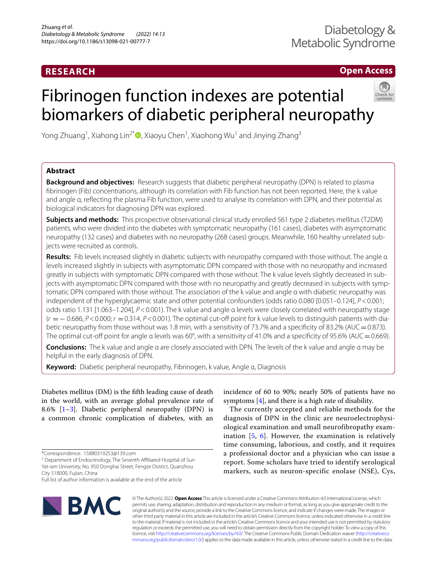# **RESEARCH**

**Open Access**

# Fibrinogen function indexes are potential biomarkers of diabetic peripheral neuropathy



Yong Zhuang<sup>1</sup>, Xiahong Lin<sup>2[\\*](http://orcid.org/0000-0001-8445-818X)</sup>®, Xiaoyu Chen<sup>1</sup>, Xiaohong Wu<sup>1</sup> and Jinying Zhang<sup>3</sup>

# **Abstract**

**Background and objectives:** Research suggests that diabetic peripheral neuropathy (DPN) is related to plasma fbrinogen (Fib) concentrations, although its correlation with Fib function has not been reported. Here, the k value and angle α, refecting the plasma Fib function, were used to analyse its correlation with DPN, and their potential as biological indicators for diagnosing DPN was explored.

**Subjects and methods:** This prospective observational clinical study enrolled 561 type 2 diabetes mellitus (T2DM) patients, who were divided into the diabetes with symptomatic neuropathy (161 cases), diabetes with asymptomatic neuropathy (132 cases) and diabetes with no neuropathy (268 cases) groups. Meanwhile, 160 healthy unrelated subjects were recruited as controls.

**Results:** Fib levels increased slightly in diabetic subjects with neuropathy compared with those without. The angle α levels increased slightly in subjects with asymptomatic DPN compared with those with no neuropathy and increased greatly in subjects with symptomatic DPN compared with those without. The k value levels slightly decreased in subjects with asymptomatic DPN compared with those with no neuropathy and greatly decreased in subjects with symptomatic DPN compared with those without. The association of the k value and angle α with diabetic neuropathy was independent of the hyperglycaemic state and other potential confounders (odds ratio 0.080 [0.051–0.124], *P*<0.001; odds ratio 1.131 [1.063–1.204], *P*<0.001). The k value and angle α levels were closely correlated with neuropathy stage (*r* =− 0.686, *P*<0.000; *r* =0.314, *P*<0.001). The optimal cut-of point for k value levels to distinguish patients with diabetic neuropathy from those without was 1.8 min, with a sensitivity of 73.7% and a specificity of 83.2% (AUC = 0.873). The optimal cut-off point for angle α levels was 60°, with a sensitivity of 41.0% and a specificity of 95.6% (AUC = 0.669).

**Conclusions:** The k value and angle α are closely associated with DPN. The levels of the k value and angle α may be helpful in the early diagnosis of DPN.

**Keyword:** Diabetic peripheral neuropathy, Fibrinogen, k value, Angle α, Diagnosis

Diabetes mellitus (DM) is the ffth leading cause of death in the world, with an average global prevalence rate of 8.6% [\[1](#page-6-0)[–3](#page-6-1)]. Diabetic peripheral neuropathy (DPN) is a common chronic complication of diabetes, with an

<sup>2</sup> Department of Endocrinology, The Seventh Affiliated Hospital of Sun Yat-sen University, No. 950 Donghai Street, Fengze District, Quanzhou City 518000, Fujian, China

Full list of author information is available at the end of the article



incidence of 60 to 90%; nearly 50% of patients have no symptoms [\[4](#page-6-2)], and there is a high rate of disability.

The currently accepted and reliable methods for the diagnosis of DPN in the clinic are neuroelectrophysiological examination and small neurofibropathy examination [[5,](#page-6-3) [6\]](#page-6-4). However, the examination is relatively time consuming, laborious, and costly, and it requires a professional doctor and a physician who can issue a report. Some scholars have tried to identify serological markers, such as neuron-specific enolase (NSE), Cys,

© The Author(s) 2022. **Open Access** This article is licensed under a Creative Commons Attribution 4.0 International License, which permits use, sharing, adaptation, distribution and reproduction in any medium or format, as long as you give appropriate credit to the original author(s) and the source, provide a link to the Creative Commons licence, and indicate if changes were made. The images or other third party material in this article are included in the article's Creative Commons licence, unless indicated otherwise in a credit line to the material. If material is not included in the article's Creative Commons licence and your intended use is not permitted by statutory regulation or exceeds the permitted use, you will need to obtain permission directly from the copyright holder. To view a copy of this licence, visit [http://creativecommons.org/licenses/by/4.0/.](http://creativecommons.org/licenses/by/4.0/) The Creative Commons Public Domain Dedication waiver ([http://creativeco](http://creativecommons.org/publicdomain/zero/1.0/) [mmons.org/publicdomain/zero/1.0/](http://creativecommons.org/publicdomain/zero/1.0/)) applies to the data made available in this article, unless otherwise stated in a credit line to the data.

<sup>\*</sup>Correspondence: 15880319253@139.com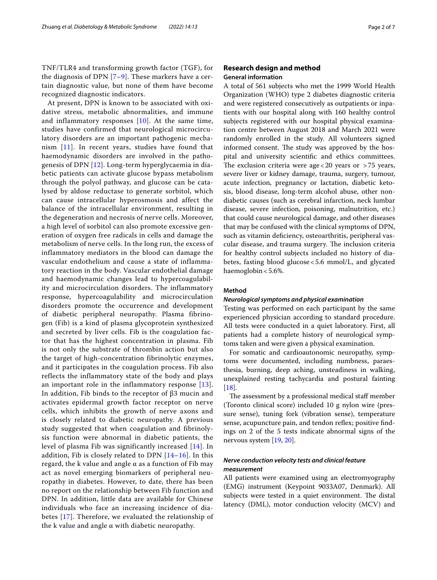TNF/TLR4 and transforming growth factor (TGF), for the diagnosis of DPN [[7–](#page-6-5)[9](#page-6-6)]. These markers have a certain diagnostic value, but none of them have become recognized diagnostic indicators.

At present, DPN is known to be associated with oxidative stress, metabolic abnormalities, and immune and inflammatory responses  $[10]$  $[10]$ . At the same time, studies have confirmed that neurological microcirculatory disorders are an important pathogenic mechanism [\[11](#page-6-8)]. In recent years, studies have found that haemodynamic disorders are involved in the pathogenesis of DPN [\[12](#page-6-9)]. Long-term hyperglycaemia in diabetic patients can activate glucose bypass metabolism through the polyol pathway, and glucose can be catalysed by aldose reductase to generate sorbitol, which can cause intracellular hyperosmosis and affect the balance of the intracellular environment, resulting in the degeneration and necrosis of nerve cells. Moreover, a high level of sorbitol can also promote excessive generation of oxygen free radicals in cells and damage the metabolism of nerve cells. In the long run, the excess of inflammatory mediators in the blood can damage the vascular endothelium and cause a state of inflammatory reaction in the body. Vascular endothelial damage and haemodynamic changes lead to hypercoagulability and microcirculation disorders. The inflammatory response, hypercoagulability and microcirculation disorders promote the occurrence and development of diabetic peripheral neuropathy. Plasma fibrinogen (Fib) is a kind of plasma glycoprotein synthesized and secreted by liver cells. Fib is the coagulation factor that has the highest concentration in plasma. Fib is not only the substrate of thrombin action but also the target of high-concentration fibrinolytic enzymes, and it participates in the coagulation process. Fib also reflects the inflammatory state of the body and plays an important role in the inflammatory response [[13\]](#page-6-10). In addition, Fib binds to the receptor of β3 mucin and activates epidermal growth factor receptor on nerve cells, which inhibits the growth of nerve axons and is closely related to diabetic neuropathy. A previous study suggested that when coagulation and fibrinolysis function were abnormal in diabetic patients, the level of plasma Fib was significantly increased [\[14\]](#page-6-11). In addition, Fib is closely related to DPN  $[14-16]$  $[14-16]$ . In this regard, the k value and angle α as a function of Fib may act as novel emerging biomarkers of peripheral neuropathy in diabetes. However, to date, there has been no report on the relationship between Fib function and DPN. In addition, little data are available for Chinese individuals who face an increasing incidence of diabetes [\[17\]](#page-6-13). Therefore, we evaluated the relationship of the k value and angle  $α$  with diabetic neuropathy.

# **Research design and method General information**

A total of 561 subjects who met the 1999 World Health Organization (WHO) type 2 diabetes diagnostic criteria and were registered consecutively as outpatients or inpatients with our hospital along with 160 healthy control subjects registered with our hospital physical examination centre between August 2018 and March 2021 were randomly enrolled in the study. All volunteers signed informed consent. The study was approved by the hospital and university scientifc and ethics committees. The exclusion criteria were age  $<$  20 years or  $>$  75 years, severe liver or kidney damage, trauma, surgery, tumour, acute infection, pregnancy or lactation, diabetic ketosis, blood disease, long-term alcohol abuse, other nondiabetic causes (such as cerebral infarction, neck lumbar disease, severe infection, poisoning, malnutrition, etc.) that could cause neurological damage, and other diseases that may be confused with the clinical symptoms of DPN, such as vitamin defciency, osteoarthritis, peripheral vascular disease, and trauma surgery. The inclusion criteria for healthy control subjects included no history of diabetes, fasting blood glucose<5.6 mmol/L, and glycated haemoglobin<5.6%.

# **Method**

#### *Neurological symptoms and physical examination*

Testing was performed on each participant by the same experienced physician according to standard procedure. All tests were conducted in a quiet laboratory. First, all patients had a complete history of neurological symptoms taken and were given a physical examination.

For somatic and cardioautonomic neuropathy, symptoms were documented, including numbness, paraesthesia, burning, deep aching, unsteadiness in walking, unexplained resting tachycardia and postural fainting [[18\]](#page-6-14).

The assessment by a professional medical staff member (Toronto clinical score) included 10 g nylon wire (pressure sense), tuning fork (vibration sense), temperature sense, acupuncture pain, and tendon reflex; positive findings on 2 of the 5 tests indicate abnormal signs of the nervous system [\[19](#page-6-15), [20\]](#page-6-16).

# *Nerve conduction velocity tests and clinical feature measurement*

All patients were examined using an electromyography (EMG) instrument (Keypoint 9033A07, Denmark). All subjects were tested in a quiet environment. The distal latency (DML), motor conduction velocity (MCV) and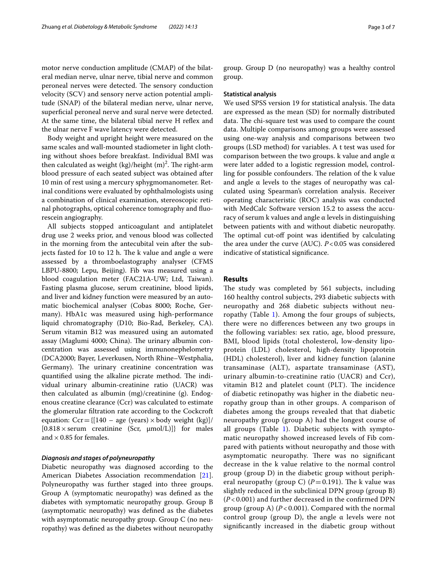motor nerve conduction amplitude (CMAP) of the bilateral median nerve, ulnar nerve, tibial nerve and common peroneal nerves were detected. The sensory conduction velocity (SCV) and sensory nerve action potential amplitude (SNAP) of the bilateral median nerve, ulnar nerve, superficial peroneal nerve and sural nerve were detected. At the same time, the bilateral tibial nerve H refex and the ulnar nerve F wave latency were detected.

Body weight and upright height were measured on the same scales and wall-mounted stadiometer in light clothing without shoes before breakfast. Individual BMI was then calculated as weight (kg)/height (m)<sup>2</sup>. The right-arm blood pressure of each seated subject was obtained after 10 min of rest using a mercury sphygmomanometer. Retinal conditions were evaluated by ophthalmologists using a combination of clinical examination, stereoscopic retinal photographs, optical coherence tomography and fuorescein angiography.

All subjects stopped anticoagulant and antiplatelet drug use 2 weeks prior, and venous blood was collected in the morning from the antecubital vein after the subjects fasted for 10 to 12 h. The k value and angle α were assessed by a thromboelastography analyser (CFMS LBPU-8800; Lepu, Beijing). Fib was measured using a blood coagulation meter (FAC21A-UW; Ltd, Taiwan). Fasting plasma glucose, serum creatinine, blood lipids, and liver and kidney function were measured by an automatic biochemical analyser (Cobas 8000; Roche, Germany). HbA1c was measured using high-performance liquid chromatography (D10; Bio-Rad, Berkeley, CA). Serum vitamin B12 was measured using an automated assay (Maglumi 4000; China). The urinary albumin concentration was assessed using immunonephelometry (DCA2000; Bayer, Leverkusen, North Rhine–Westphalia, Germany). The urinary creatinine concentration was quantified using the alkaline picrate method. The individual urinary albumin-creatinine ratio (UACR) was then calculated as albumin (mg)/creatinine (g). Endogenous creatine clearance (Ccr) was calculated to estimate the glomerular fltration rate according to the Cockcroft equation:  $Cor = \{(140 - age (years) \times body weight (kg)\}/$  $[0.818 \times \text{serum}$  creatinine (Scr,  $\mu$ mol/L)]} for males and  $\times$  0.85 for females.

#### *Diagnosis and stages of polyneuropathy*

Diabetic neuropathy was diagnosed according to the American Diabetes Association recommendation [\[21](#page-6-17)]. Polyneuropathy was further staged into three groups. Group A (symptomatic neuropathy) was defned as the diabetes with symptomatic neuropathy group. Group B (asymptomatic neuropathy) was defned as the diabetes with asymptomatic neuropathy group. Group C (no neuropathy) was defned as the diabetes without neuropathy group. Group D (no neuropathy) was a healthy control group.

#### **Statistical analysis**

We used SPSS version 19 for statistical analysis. The data are expressed as the mean (SD) for normally distributed data. The chi-square test was used to compare the count data. Multiple comparisons among groups were assessed using one-way analysis and comparisons between two groups (LSD method) for variables. A t test was used for comparison between the two groups. k value and angle α were later added to a logistic regression model, controlling for possible confounders. The relation of the k value and angle  $\alpha$  levels to the stages of neuropathy was calculated using Spearman's correlation analysis. Receiver operating characteristic (ROC) analysis was conducted with MedCalc Software version 15.2 to assess the accuracy of serum k values and angle α levels in distinguishing between patients with and without diabetic neuropathy. The optimal cut-off point was identified by calculating the area under the curve (AUC). *P*<0.05 was considered indicative of statistical signifcance.

## **Results**

The study was completed by 561 subjects, including 160 healthy control subjects, 293 diabetic subjects with neuropathy and 268 diabetic subjects without neuropathy (Table [1\)](#page-3-0). Among the four groups of subjects, there were no diferences between any two groups in the following variables: sex ratio, age, blood pressure, BMI, blood lipids (total cholesterol, low-density lipoprotein (LDL) cholesterol, high-density lipoprotein (HDL) cholesterol), liver and kidney function (alanine transaminase (ALT), aspartate transaminase (AST), urinary albumin-to-creatinine ratio (UACR) and Ccr), vitamin B12 and platelet count (PLT). The incidence of diabetic retinopathy was higher in the diabetic neuropathy group than in other groups. A comparison of diabetes among the groups revealed that that diabetic neuropathy group (group A) had the longest course of all groups (Table  $1$ ). Diabetic subjects with symptomatic neuropathy showed increased levels of Fib compared with patients without neuropathy and those with asymptomatic neuropathy. There was no significant decrease in the k value relative to the normal control group (group D) in the diabetic group without peripheral neuropathy (group C)  $(P=0.191)$ . The k value was slightly reduced in the subclinical DPN group (group B) (*P* < 0.001) and further decreased in the confrmed DPN group (group A) (*P* < 0.001). Compared with the normal control group (group D), the angle α levels were not signifcantly increased in the diabetic group without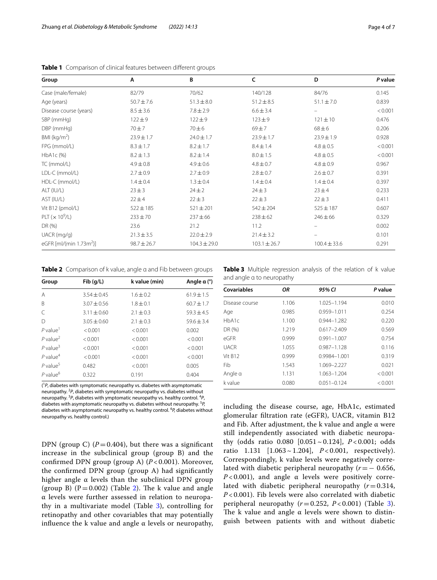| Group                               | Α               | B                | c                | D                | P value |
|-------------------------------------|-----------------|------------------|------------------|------------------|---------|
| Case (male/female)                  | 82/79           | 70/62            | 140/128          | 84/76            | 0.145   |
| Age (years)                         | $50.7 \pm 7.6$  | $51.3 \pm 8.0$   | $51.2 \pm 8.5$   | $51.1 \pm 7.0$   | 0.839   |
| Disease course (years)              | $8.5 \pm 3.6$   | $7.8 \pm 2.9$    | $6.6 \pm 3.4$    | -                | < 0.001 |
| SBP (mmHg)                          | $122 + 9$       | $122 \pm 9$      | $123 + 9$        | $121 \pm 10$     | 0.476   |
| DBP (mmHg)                          | 70±7            | $70\pm 6$        | $69 \pm 7$       | $68 + 6$         | 0.206   |
| BMI ( $kg/m2$ )                     | $23.9 \pm 1.7$  | $24.0 \pm 1.7$   | $23.9 \pm 1.7$   | $23.9 \pm 1.9$   | 0.928   |
| FPG (mmol/L)                        | $8.3 \pm 1.7$   | $8.2 \pm 1.7$    | $8.4 \pm 1.4$    | $4.8 \pm 0.5$    | < 0.001 |
| HbA1c (%)                           | $8.2 \pm 1.3$   | $8.2 \pm 1.4$    | $8.0 \pm 1.5$    | $4.8 \pm 0.5$    | < 0.001 |
| TC (mmol/L)                         | $4.9 \pm 0.8$   | $4.9 \pm 0.6$    | $4.8 \pm 0.7$    | $4.8 \pm 0.9$    | 0.967   |
| LDL-C (mmol/L)                      | $2.7 \pm 0.9$   | $2.7 \pm 0.9$    | $2.8 \pm 0.7$    | $2.6 \pm 0.7$    | 0.391   |
| HDL-C (mmol/L)                      | $1.4 \pm 0.4$   | $1.3 \pm 0.4$    | $1.4 \pm 0.4$    | $1.4 \pm 0.4$    | 0.397   |
| ALT (IU/L)                          | $23 \pm 3$      | $24 \pm 2$       | $24 \pm 3$       | $23 + 4$         | 0.233   |
| AST (IU/L)                          | 22 ± 4          | $22 \pm 3$       | $22 \pm 3$       | $22 \pm 3$       | 0.411   |
| Vit B12 (pmol/L)                    | $522 \pm 185$   | $521 \pm 201$    | $542 \pm 204$    | $525 \pm 187$    | 0.607   |
| PLT ( $\times$ 10 <sup>9</sup> /L)  | $233 \pm 70$    | $237 + 66$       | $238 \pm 62$     | $246 \pm 66$     | 0.329   |
| DR (%)                              | 23.6            | 21.2             | 11.2             |                  | 0.002   |
| $UACR$ (mg/g)                       | $21.3 \pm 3.5$  | $22.0 \pm 2.9$   | $21.4 \pm 3.2$   |                  | 0.101   |
| eGFR [ml/(min 1.73m <sup>2</sup> )] | $98.7 \pm 26.7$ | $104.3 \pm 29.0$ | $103.1 \pm 26.7$ | $100.4 \pm 33.6$ | 0.291   |

<span id="page-3-0"></span>**Table 1** Comparison of clinical features between different groups

<span id="page-3-1"></span>**Table 2** Comparison of k value, angle α and Fib between groups

| Group                  | Fib(q/L)        | k value (min) | Angle $\alpha$ ( $\degree$ ) |
|------------------------|-----------------|---------------|------------------------------|
| A                      | $3.54 \pm 0.45$ | $1.6 \pm 0.2$ | $61.9 \pm 1.5$               |
| B                      | $3.07 \pm 0.56$ | $1.8 \pm 0.1$ | $60.7 \pm 1.7$               |
| $\subset$              | $3.11 \pm 0.60$ | $2.1 \pm 0.3$ | $59.3 \pm 4.5$               |
| $\mathsf{D}$           | $3.05 + 0.60$   | $2.1 \pm 0.3$ | $59.6 \pm 3.4$               |
| $P$ value <sup>1</sup> | < 0.001         | < 0.001       | 0.002                        |
| $P$ value <sup>2</sup> | < 0.001         | < 0.001       | < 0.001                      |
| $P$ value <sup>3</sup> | < 0.001         | < 0.001       | < 0.001                      |
| $P$ value <sup>4</sup> | < 0.001         | < 0.001       | < 0.001                      |
| $P$ value <sup>5</sup> | 0.482           | < 0.001       | 0.005                        |
| $P$ value <sup>6</sup> | 0.322           | 0.191         | 0.404                        |

( 1 *P*, diabetes with symptomatic neuropathy vs. diabetes with asymptomatic neuropathy. 2 *P*, diabetes with symptomatic neuropathy vs. diabetes without neuropathy.<sup>3</sup>P, diabetes with ymptomatic neuropathy vs. healthy control.<sup>4</sup>P, diabetes with asymptomatic neuropathy vs. diabetes without neuropathy. <sup>5</sup> *P,* diabetes with asymptomatic neuropathy vs. healthy control. <sup>6</sup> *P,* diabetes without neuropathy vs. healthy control.)

DPN (group C)  $(P=0.404)$ , but there was a significant increase in the subclinical group (group B) and the confrmed DPN group (group A) (*P* < 0.001). Moreover, the confrmed DPN group (group A) had signifcantly higher angle  $\alpha$  levels than the subclinical DPN group (group B) ( $P = 0.002$ ) (Table [2\)](#page-3-1). The k value and angle α levels were further assessed in relation to neuropathy in a multivariate model (Table [3\)](#page-3-2), controlling for retinopathy and other covariables that may potentially influence the k value and angle  $\alpha$  levels or neuropathy,

<span id="page-3-2"></span>**Table 3** Multiple regression analysis of the relation of k value and angle α to neuropathy

| Covariables        | ΟR    | 95% CI           | P value |
|--------------------|-------|------------------|---------|
| Disease course     | 1.106 | 1.025-1.194      | 0.010   |
| Age                | 0.985 | $0.959 - 1.011$  | 0.254   |
| HbA1c              | 1.100 | $0.944 - 1.282$  | 0.220   |
| DR (%)             | 1.219 | $0.617 - 2.409$  | 0.569   |
| $\overline{P}$ GFR | 0.999 | $0.991 - 1.007$  | 0.754   |
| <b>UACR</b>        | 1.055 | $0.987 - 1.128$  | 0.116   |
| Vit B12            | 0.999 | $0.9984 - 1.001$ | 0.319   |
| Fib                | 1.543 | 1.069-2.227      | 0.021   |
| Angle a            | 1.131 | 1.063-1.204      | < 0.001 |
| k value            | 0.080 | $0.051 - 0.124$  | < 0.001 |

including the disease course, age, HbA1c, estimated glomerular fltration rate (eGFR), UACR, vitamin B12 and Fib. After adjustment, the k value and angle  $\alpha$  were still independently associated with diabetic neuropathy (odds ratio 0.080 [0.051~0.124], *P* < 0.001; odds ratio 1.131 [1.063~1.204], *P* < 0.001, respectively). Correspondingly, k value levels were negatively correlated with diabetic peripheral neuropathy (*r*=− 0.656, *P* < 0.001), and angle  $\alpha$  levels were positively correlated with diabetic peripheral neuropathy  $(r=0.314,$ *P* < 0.001). Fib levels were also correlated with diabetic peripheral neuropathy  $(r=0.252, P<0.001)$  (Table [3](#page-3-2)). The k value and angle  $\alpha$  levels were shown to distinguish between patients with and without diabetic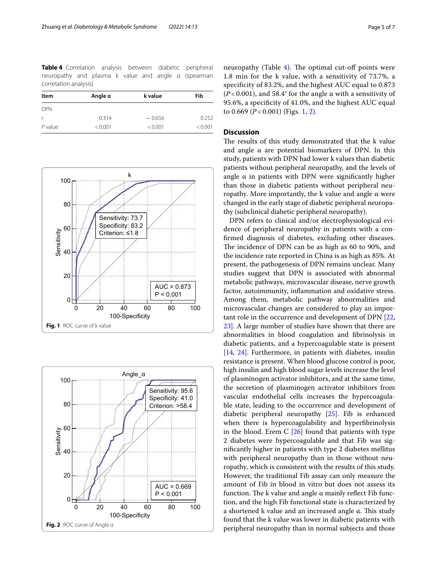<span id="page-4-0"></span>**Table 4** Correlation analysis between diabetic peripheral neuropathy and plasma k value and angle α (spearman correlation analysis)

| Item       | Angle α | k value  | Fib     |  |
|------------|---------|----------|---------|--|
| <b>DPN</b> |         |          |         |  |
| r          | 0.314   | $-0.656$ | 0.252   |  |
| $P$ value  | < 0.001 | < 0.001  | < 0.001 |  |



<span id="page-4-2"></span><span id="page-4-1"></span>

neuropathy (Table  $4$ ). The optimal cut-off points were 1.8 min for the k value, with a sensitivity of 73.7%, a specifcity of 83.2%, and the highest AUC equal to 0.873 ( $P$  < 0.001), and 58.4° for the angle  $\alpha$  with a sensitivity of 95.6%, a specifcity of 41.0%, and the highest AUC equal to 0.669 (*P* < 0.001) (Figs. [1,](#page-4-1) [2](#page-4-2)).

# **Discussion**

The results of this study demonstrated that the k value and angle  $\alpha$  are potential biomarkers of DPN. In this study, patients with DPN had lower k values than diabetic patients without peripheral neuropathy, and the levels of angle  $\alpha$  in patients with DPN were significantly higher than those in diabetic patients without peripheral neuropathy. More importantly, the k value and angle α were changed in the early stage of diabetic peripheral neuropathy (subclinical diabetic peripheral neuropathy).

DPN refers to clinical and/or electrophysiological evidence of peripheral neuropathy in patients with a confrmed diagnosis of diabetes, excluding other diseases. The incidence of DPN can be as high as 60 to 90%, and the incidence rate reported in China is as high as 85%. At present, the pathogenesis of DPN remains unclear. Many studies suggest that DPN is associated with abnormal metabolic pathways, microvascular disease, nerve growth factor, autoimmunity, infammation and oxidative stress. Among them, metabolic pathway abnormalities and microvascular changes are considered to play an important role in the occurrence and development of DPN [[22](#page-6-18), [23\]](#page-6-19). A large number of studies have shown that there are abnormalities in blood coagulation and fbrinolysis in diabetic patients, and a hypercoagulable state is present [[14,](#page-6-11) [24\]](#page-6-20). Furthermore, in patients with diabetes, insulin resistance is present. When blood glucose control is poor, high insulin and high blood sugar levels increase the level of plasminogen activator inhibitors, and at the same time, the secretion of plasminogen activator inhibitors from vascular endothelial cells increases the hypercoagulable state, leading to the occurrence and development of diabetic peripheral neuropathy [\[25\]](#page-6-21). Fib is enhanced when there is hypercoagulability and hyperfbrinolysis in the blood. Erem C  $[26]$  found that patients with type 2 diabetes were hypercoagulable and that Fib was signifcantly higher in patients with type 2 diabetes mellitus with peripheral neuropathy than in those without neuropathy, which is consistent with the results of this study. However, the traditional Fib assay can only measure the amount of Fib in blood in vitro but does not assess its function. The k value and angle  $\alpha$  mainly reflect Fib function, and the high Fib functional state is characterized by a shortened k value and an increased angle  $\alpha$ . This study found that the k value was lower in diabetic patients with peripheral neuropathy than in normal subjects and those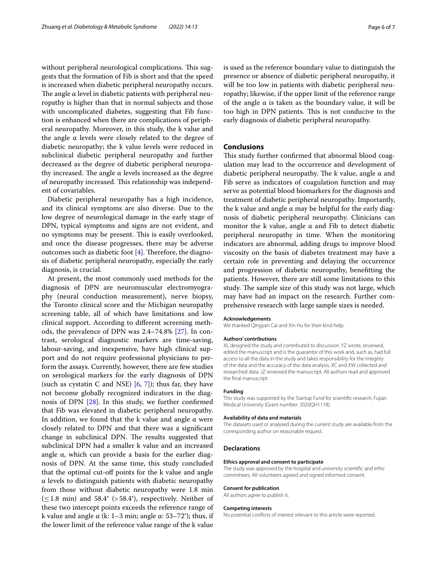without peripheral neurological complications. This suggests that the formation of Fib is short and that the speed is increased when diabetic peripheral neuropathy occurs. The angle  $\alpha$  level in diabetic patients with peripheral neuropathy is higher than that in normal subjects and those with uncomplicated diabetes, suggesting that Fib function is enhanced when there are complications of peripheral neuropathy. Moreover, in this study, the k value and the angle  $α$  levels were closely related to the degree of diabetic neuropathy; the k value levels were reduced in subclinical diabetic peripheral neuropathy and further decreased as the degree of diabetic peripheral neuropathy increased. The angle  $\alpha$  levels increased as the degree of neuropathy increased. This relationship was independent of covariables.

Diabetic peripheral neuropathy has a high incidence, and its clinical symptoms are also diverse. Due to the low degree of neurological damage in the early stage of DPN, typical symptoms and signs are not evident, and no symptoms may be present. This is easily overlooked, and once the disease progresses, there may be adverse outcomes such as diabetic foot  $[4]$ . Therefore, the diagnosis of diabetic peripheral neuropathy, especially the early diagnosis, is crucial.

At present, the most commonly used methods for the diagnosis of DPN are neuromuscular electromyography (neural conduction measurement), nerve biopsy, the Toronto clinical score and the Michigan neuropathy screening table, all of which have limitations and low clinical support. According to diferent screening methods, the prevalence of DPN was 2.4–74.8% [[27](#page-6-23)]. In contrast, serological diagnostic markers are time-saving, labour-saving, and inexpensive, have high clinical support and do not require professional physicians to perform the assays. Currently, however, there are few studies on serological markers for the early diagnosis of DPN (such as cystatin C and NSE)  $[6, 7]$  $[6, 7]$  $[6, 7]$  $[6, 7]$ ; thus far, they have not become globally recognized indicators in the diagnosis of DPN [\[28\]](#page-6-24). In this study, we further confrmed that Fib was elevated in diabetic peripheral neuropathy. In addition, we found that the k value and angle  $\alpha$  were closely related to DPN and that there was a signifcant change in subclinical DPN. The results suggested that subclinical DPN had a smaller k value and an increased angle  $\alpha$ , which can provide a basis for the earlier diagnosis of DPN. At the same time, this study concluded that the optimal cut-of points for the k value and angle α levels to distinguish patients with diabetic neuropathy from those without diabetic neuropathy were 1.8 min  $(\leq 1.8$  min) and 58.4° (>58.4°), respectively. Neither of these two intercept points exceeds the reference range of k value and angle  $\alpha$  (k: 1–3 min; angle  $\alpha$ : 53–72°); thus, if the lower limit of the reference value range of the k value is used as the reference boundary value to distinguish the presence or absence of diabetic peripheral neuropathy, it will be too low in patients with diabetic peripheral neuropathy; likewise, if the upper limit of the reference range of the angle  $\alpha$  is taken as the boundary value, it will be too high in DPN patients. This is not conducive to the early diagnosis of diabetic peripheral neuropathy.

#### **Conclusions**

This study further confirmed that abnormal blood coagulation may lead to the occurrence and development of diabetic peripheral neuropathy. The k value, angle  $\alpha$  and Fib serve as indicators of coagulation function and may serve as potential blood biomarkers for the diagnosis and treatment of diabetic peripheral neuropathy. Importantly, the k value and angle α may be helpful for the early diagnosis of diabetic peripheral neuropathy. Clinicians can monitor the k value, angle  $\alpha$  and Fib to detect diabetic peripheral neuropathy in time. When the monitoring indicators are abnormal, adding drugs to improve blood viscosity on the basis of diabetes treatment may have a certain role in preventing and delaying the occurrence and progression of diabetic neuropathy, beneftting the patients. However, there are still some limitations to this study. The sample size of this study was not large, which may have had an impact on the research. Further comprehensive research with large sample sizes is needed.

#### **Acknowledgements**

We thanked Qingyan Cai and Xin Hu for their kind help.

#### **Authors' contributions**

XL designed the study and contributed to discussion. YZ wrote, reviewed, edited the manuscript and is the guarantor of this work and, such as, had full access to all the data in the study and takes responsibility for the integrity of the data and the accuracy of the data analysis. XC and XW collected and researched data. JZ reviewed the manuscript. All authors read and approved the fnal manuscript.

#### **Funding**

This study was supported by the Startup Fund for scientifc research, Fujian Medical University (Grant number: 2020QH1118).

#### **Availability of data and materials**

The datasets used or analysed during the current study are available from the corresponding author on reasonable request.

#### **Declarations**

#### **Ethics approval and consent to participate**

The study was approved by the hospital and university scientifc and ethic committees. All volunteers agreed and signed informed consent.

#### **Consent for publication**

All authors agree to publish it.

#### **Competing interests**

No potential conficts of interest relevant to this article were reported.